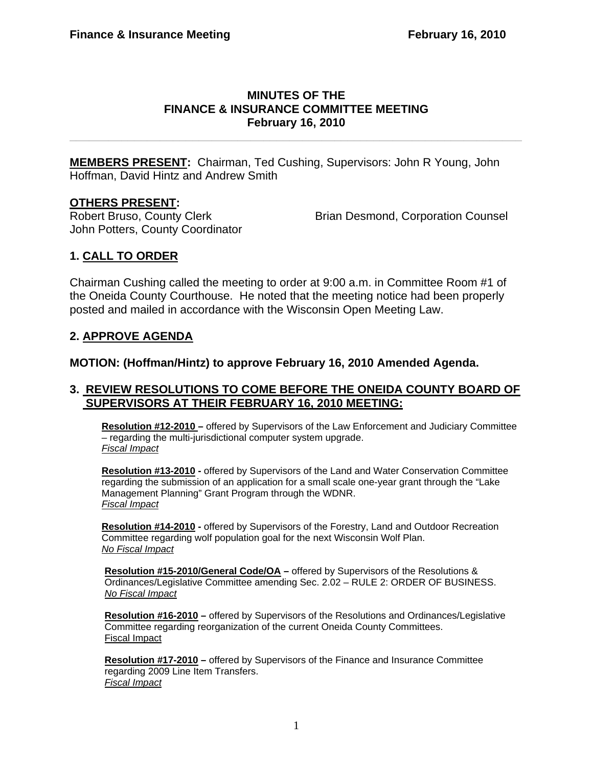#### **MINUTES OF THE FINANCE & INSURANCE COMMITTEE MEETING February 16, 2010**

**\_\_\_\_\_\_\_\_\_\_\_\_\_\_\_\_\_\_\_\_\_\_\_\_\_\_\_\_\_\_\_\_\_\_\_\_\_\_\_\_\_\_\_\_\_\_\_\_\_\_\_\_\_\_\_\_\_\_\_\_\_\_\_\_\_\_\_\_\_\_** 

**MEMBERS PRESENT:** Chairman, Ted Cushing, Supervisors: John R Young, John Hoffman, David Hintz and Andrew Smith

### **OTHERS PRESENT:**

John Potters, County Coordinator

Robert Bruso, County Clerk **Brian Desmond, Corporation Counsel** 

# **1. CALL TO ORDER**

Chairman Cushing called the meeting to order at 9:00 a.m. in Committee Room #1 of the Oneida County Courthouse. He noted that the meeting notice had been properly posted and mailed in accordance with the Wisconsin Open Meeting Law.

## **2. APPROVE AGENDA**

**MOTION: (Hoffman/Hintz) to approve February 16, 2010 Amended Agenda.** 

### **3. REVIEW RESOLUTIONS TO COME BEFORE THE ONEIDA COUNTY BOARD OF SUPERVISORS AT THEIR FEBRUARY 16, 2010 MEETING:**

**Resolution #12-2010 –** offered by Supervisors of the Law Enforcement and Judiciary Committee – regarding the multi-jurisdictional computer system upgrade. *Fiscal Impact*

**Resolution #13-2010 -** offered by Supervisors of the Land and Water Conservation Committee regarding the submission of an application for a small scale one-year grant through the "Lake Management Planning" Grant Program through the WDNR. *Fiscal Impact*

**Resolution #14-2010 -** offered by Supervisors of the Forestry, Land and Outdoor Recreation Committee regarding wolf population goal for the next Wisconsin Wolf Plan. *No Fiscal Impact*

**Resolution #15-2010/General Code/OA –** offered by Supervisors of the Resolutions & Ordinances/Legislative Committee amending Sec. 2.02 – RULE 2: ORDER OF BUSINESS. *No Fiscal Impact*

**Resolution #16-2010 –** offered by Supervisors of the Resolutions and Ordinances/Legislative Committee regarding reorganization of the current Oneida County Committees. Fiscal Impact

**Resolution #17-2010 –** offered by Supervisors of the Finance and Insurance Committee regarding 2009 Line Item Transfers. *Fiscal Impact*